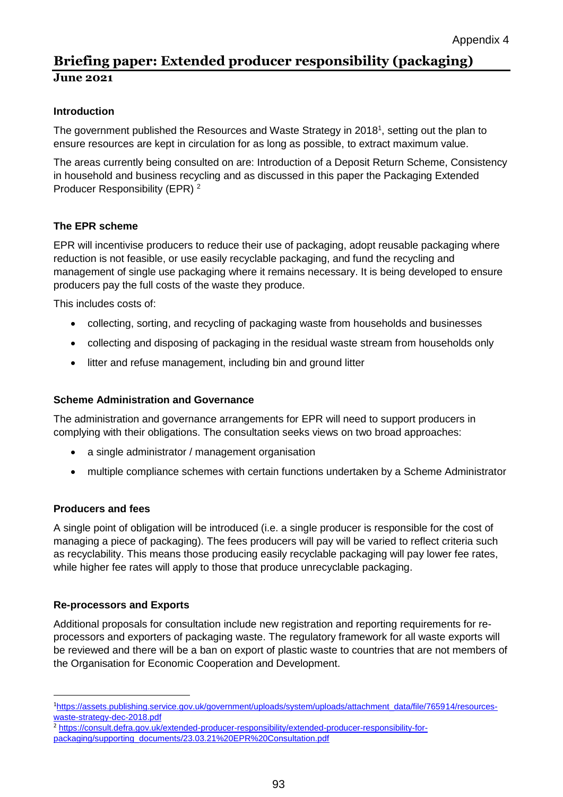# **Briefing paper: Extended producer responsibility (packaging) June 2021**

## **Introduction**

The government published the Resources and Waste Strategy in 2018<sup>1</sup>, setting out the plan to ensure resources are kept in circulation for as long as possible, to extract maximum value.

The areas currently being consulted on are: Introduction of a Deposit Return Scheme, Consistency in household and business recycling and as discussed in this paper the Packaging Extended Producer Responsibility (EPR) <sup>2</sup>

## **The EPR scheme**

EPR will incentivise producers to reduce their use of packaging, adopt reusable packaging where reduction is not feasible, or use easily recyclable packaging, and fund the recycling and management of single use packaging where it remains necessary. It is being developed to ensure producers pay the full costs of the waste they produce.

This includes costs of:

- collecting, sorting, and recycling of packaging waste from households and businesses
- collecting and disposing of packaging in the residual waste stream from households only
- litter and refuse management, including bin and ground litter

#### **Scheme Administration and Governance**

The administration and governance arrangements for EPR will need to support producers in complying with their obligations. The consultation seeks views on two broad approaches:

- a single administrator / management organisation
- multiple compliance schemes with certain functions undertaken by a Scheme Administrator

## **Producers and fees**

**.** 

A single point of obligation will be introduced (i.e. a single producer is responsible for the cost of managing a piece of packaging). The fees producers will pay will be varied to reflect criteria such as recyclability. This means those producing easily recyclable packaging will pay lower fee rates, while higher fee rates will apply to those that produce unrecyclable packaging.

## **Re-processors and Exports**

Additional proposals for consultation include new registration and reporting requirements for reprocessors and exporters of packaging waste. The regulatory framework for all waste exports will be reviewed and there will be a ban on export of plastic waste to countries that are not members of the Organisation for Economic Cooperation and Development.

<sup>1</sup>[https://assets.publishing.service.gov.uk/government/uploads/system/uploads/attachment\\_data/file/765914/resources](https://assets.publishing.service.gov.uk/government/uploads/system/uploads/attachment_data/file/765914/resources-waste-strategy-dec-2018.pdf)[waste-strategy-dec-2018.pdf](https://assets.publishing.service.gov.uk/government/uploads/system/uploads/attachment_data/file/765914/resources-waste-strategy-dec-2018.pdf)

<sup>2</sup> https://consult.defra.gov.uk/extended-producer-responsibility/extended-producer-responsibility-forpackaging/supporting\_documents/23.03.21%20EPR%20Consultation.pdf